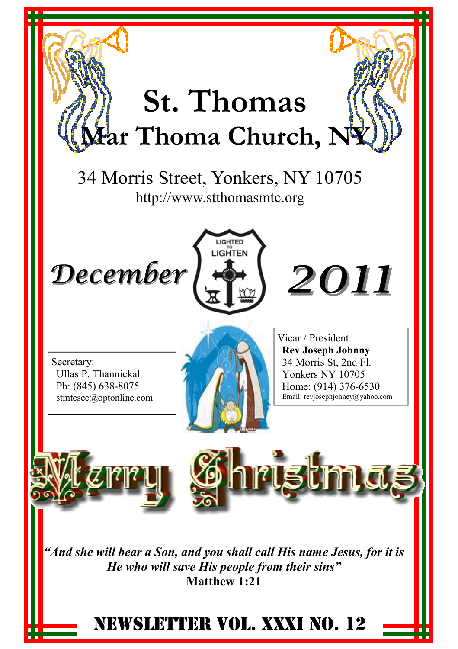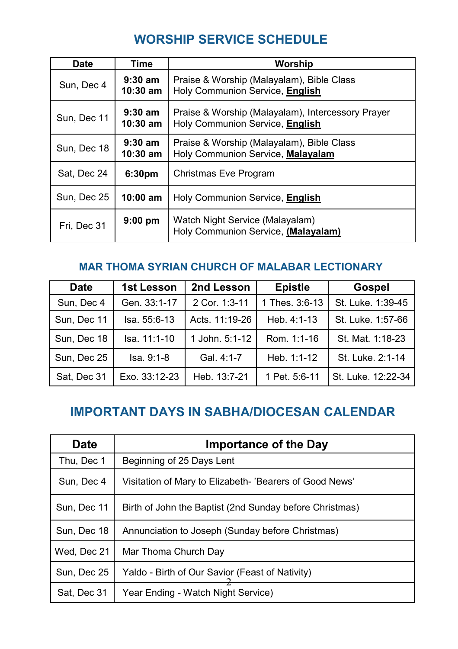## **WORSHIP SERVICE SCHEDULE**

| Date        | Time                    | Worship                                                                              |
|-------------|-------------------------|--------------------------------------------------------------------------------------|
| Sun, Dec 4  | $9:30$ am<br>$10:30$ am | Praise & Worship (Malayalam), Bible Class<br>Holy Communion Service, English         |
| Sun, Dec 11 | $9:30$ am<br>$10:30$ am | Praise & Worship (Malayalam), Intercessory Prayer<br>Holy Communion Service, English |
| Sun, Dec 18 | $9:30$ am<br>$10:30$ am | Praise & Worship (Malayalam), Bible Class<br>Holy Communion Service, Malayalam       |
| Sat, Dec 24 | 6:30 <sub>pm</sub>      | Christmas Eve Program                                                                |
| Sun, Dec 25 | $10:00$ am              | Holy Communion Service, English                                                      |
| Fri. Dec 31 | $9:00$ pm               | Watch Night Service (Malayalam)<br>Holy Communion Service, (Malayalam)               |

#### **MAR THOMA SYRIAN CHURCH OF MALABAR LECTIONARY**

| <b>Date</b> | 1st Lesson    | 2nd Lesson     | <b>Epistle</b> | <b>Gospel</b>      |
|-------------|---------------|----------------|----------------|--------------------|
| Sun, Dec 4  | Gen. 33:1-17  | 2 Cor. 1:3-11  | 1 Thes. 3:6-13 | St. Luke. 1:39-45  |
| Sun, Dec 11 | Isa. 55:6-13  | Acts. 11:19-26 | Heb. 4:1-13    | St. Luke. 1:57-66  |
| Sun, Dec 18 | Isa. 11:1-10  | 1 John. 5:1-12 | Rom. 1:1-16    | St. Mat. 1:18-23   |
| Sun. Dec 25 | Isa. 9:1-8    | Gal. 4:1-7     | Heb. $1:1-12$  | St. Luke. 2:1-14   |
| Sat, Dec 31 | Exo. 33:12-23 | Heb. 13:7-21   | 1 Pet. 5:6-11  | St. Luke. 12:22-34 |

## **IMPORTANT DAYS IN SABHA/DIOCESAN CALENDAR**

| <b>Date</b> | <b>Importance of the Day</b>                            |  |  |
|-------------|---------------------------------------------------------|--|--|
| Thu, Dec 1  | Beginning of 25 Days Lent                               |  |  |
| Sun, Dec 4  | Visitation of Mary to Elizabeth- 'Bearers of Good News' |  |  |
| Sun, Dec 11 | Birth of John the Baptist (2nd Sunday before Christmas) |  |  |
| Sun. Dec 18 | Annunciation to Joseph (Sunday before Christmas)        |  |  |
| Wed, Dec 21 | Mar Thoma Church Day                                    |  |  |
| Sun, Dec 25 | Yaldo - Birth of Our Savior (Feast of Nativity)         |  |  |
| Sat, Dec 31 | Year Ending - Watch Night Service)                      |  |  |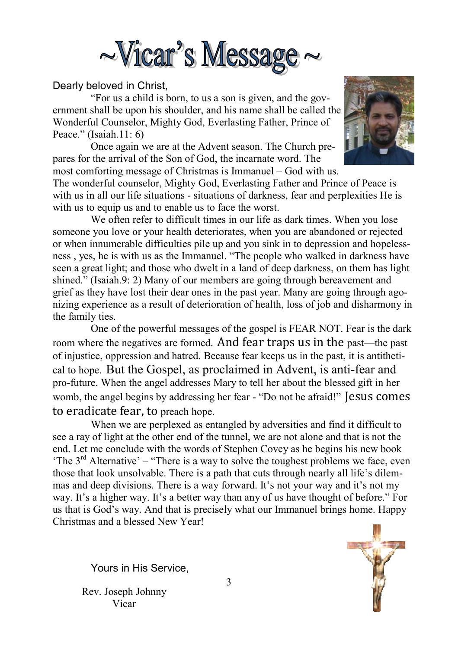

#### Dearly beloved in Christ,

 "For us a child is born, to us a son is given, and the government shall be upon his shoulder, and his name shall be called the Wonderful Counselor, Mighty God, Everlasting Father, Prince of Peace." (Isaiah.11: 6)

 Once again we are at the Advent season. The Church prepares for the arrival of the Son of God, the incarnate word. The most comforting message of Christmas is Immanuel – God with us.



The wonderful counselor, Mighty God, Everlasting Father and Prince of Peace is with us in all our life situations - situations of darkness, fear and perplexities He is with us to equip us and to enable us to face the worst.

We often refer to difficult times in our life as dark times. When you lose someone you love or your health deteriorates, when you are abandoned or rejected or when innumerable difficulties pile up and you sink in to depression and hopelessness , yes, he is with us as the Immanuel. "The people who walked in darkness have seen a great light; and those who dwelt in a land of deep darkness, on them has light shined." (Isaiah.9: 2) Many of our members are going through bereavement and grief as they have lost their dear ones in the past year. Many are going through agonizing experience as a result of deterioration of health, loss of job and disharmony in the family ties.

 One of the powerful messages of the gospel is FEAR NOT. Fear is the dark room where the negatives are formed. And fear traps us in the past—the past of injustice, oppression and hatred. Because fear keeps us in the past, it is antithetical to hope. But the Gospel, as proclaimed in Advent, is anti-fear and pro-future. When the angel addresses Mary to tell her about the blessed gift in her womb, the angel begins by addressing her fear - "Do not be afraid!" Jesus comes to eradicate fear, to preach hope.

 When we are perplexed as entangled by adversities and find it difficult to see a ray of light at the other end of the tunnel, we are not alone and that is not the end. Let me conclude with the words of Stephen Covey as he begins his new book 'The  $3<sup>rd</sup>$  Alternative' – "There is a way to solve the toughest problems we face, even those that look unsolvable. There is a path that cuts through nearly all life's dilemmas and deep divisions. There is a way forward. It's not your way and it's not my way. It's a higher way. It's a better way than any of us have thought of before." For us that is God's way. And that is precisely what our Immanuel brings home. Happy Christmas and a blessed New Year!

Yours in His Service,

Rev. Joseph Johnny Vicar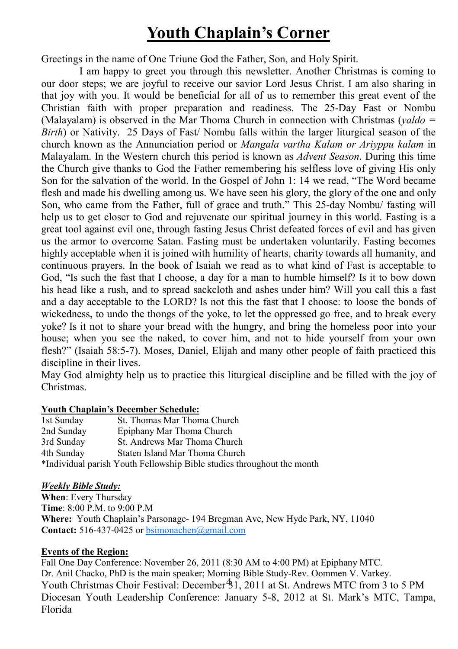## **Youth Chaplain's Corner**

Greetings in the name of One Triune God the Father, Son, and Holy Spirit.

 I am happy to greet you through this newsletter. Another Christmas is coming to our door steps; we are joyful to receive our savior Lord Jesus Christ. I am also sharing in that joy with you. It would be beneficial for all of us to remember this great event of the Christian faith with proper preparation and readiness. The 25-Day Fast or Nombu (Malayalam) is observed in the Mar Thoma Church in connection with Christmas (*yaldo = Birth*) or Nativity. 25 Days of Fast/ Nombu falls within the larger liturgical season of the church known as the Annunciation period or *Mangala vartha Kalam or Ariyppu kalam* in Malayalam. In the Western church this period is known as *Advent Season*. During this time the Church give thanks to God the Father remembering his selfless love of giving His only Son for the salvation of the world. In the Gospel of John 1: 14 we read, "The Word became flesh and made his dwelling among us. We have seen his glory, the glory of the one and only Son, who came from the Father, full of grace and truth." This 25-day Nombu/ fasting will help us to get closer to God and rejuvenate our spiritual journey in this world. Fasting is a great tool against evil one, through fasting Jesus Christ defeated forces of evil and has given us the armor to overcome Satan. Fasting must be undertaken voluntarily. Fasting becomes highly acceptable when it is joined with humility of hearts, charity towards all humanity, and continuous prayers. In the book of Isaiah we read as to what kind of Fast is acceptable to God, "Is such the fast that I choose, a day for a man to humble himself? Is it to bow down his head like a rush, and to spread sackcloth and ashes under him? Will you call this a fast and a day acceptable to the LORD? Is not this the fast that I choose: to loose the bonds of wickedness, to undo the thongs of the yoke, to let the oppressed go free, and to break every yoke? Is it not to share your bread with the hungry, and bring the homeless poor into your house; when you see the naked, to cover him, and not to hide yourself from your own flesh?" (Isaiah 58:5-7). Moses, Daniel, Elijah and many other people of faith practiced this discipline in their lives.

May God almighty help us to practice this liturgical discipline and be filled with the joy of Christmas.

#### **Youth Chaplain's December Schedule:**

| 1st Sunday | St. Thomas Mar Thoma Church                                            |
|------------|------------------------------------------------------------------------|
| 2nd Sunday | Epiphany Mar Thoma Church                                              |
| 3rd Sunday | St. Andrews Mar Thoma Church                                           |
| 4th Sunday | Staten Island Mar Thoma Church                                         |
|            | *Individual parish Youth Fellowship Bible studies throughout the month |

#### *Weekly Bible Study:*

**When**: Every Thursday **Time**: 8:00 P.M. to 9:00 P.M **Where:** Youth Chaplain's Parsonage- 194 Bregman Ave, New Hyde Park, NY, 11040 **Contact:** 516-437-0425 or bsimonachen@gmail.com

#### **Events of the Region:**

Youth Christmas Choir Festival: December 31, 2011 at St. Andrews MTC from 3 to 5 PM Fall One Day Conference: November 26, 2011 (8:30 AM to 4:00 PM) at Epiphany MTC. Dr. Anil Chacko, PhD is the main speaker; Morning Bible Study-Rev. Oommen V. Varkey. Diocesan Youth Leadership Conference: January 5-8, 2012 at St. Mark's MTC, Tampa, Florida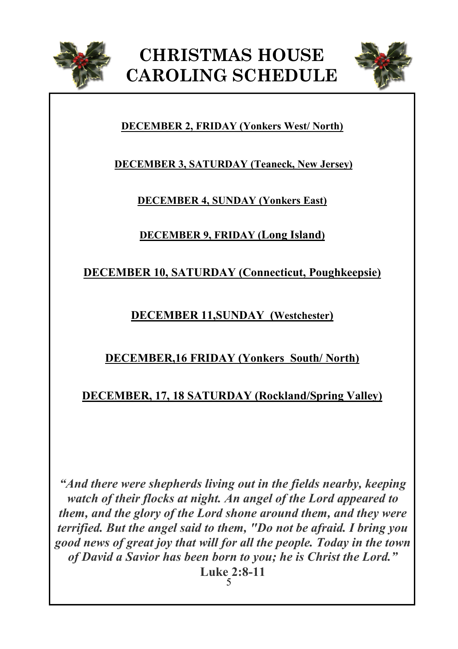



#### **DECEMBER 2, FRIDAY (Yonkers West/ North)**

**DECEMBER 3, SATURDAY (Teaneck, New Jersey)**

#### **DECEMBER 4, SUNDAY (Yonkers East)**

**DECEMBER 9, FRIDAY (Long Island)**

**DECEMBER 10, SATURDAY (Connecticut, Poughkeepsie)**

**DECEMBER 11,SUNDAY (Westchester)**

## **DECEMBER,16 FRIDAY (Yonkers South/ North)**

## **DECEMBER, 17, 18 SATURDAY (Rockland/Spring Valley)**

*"And there were shepherds living out in the fields nearby, keeping watch of their flocks at night. An angel of the Lord appeared to them, and the glory of the Lord shone around them, and they were terrified. But the angel said to them, "Do not be afraid. I bring you good news of great joy that will for all the people. Today in the town of David a Savior has been born to you; he is Christ the Lord."*  **Luke 2:8-11** 

5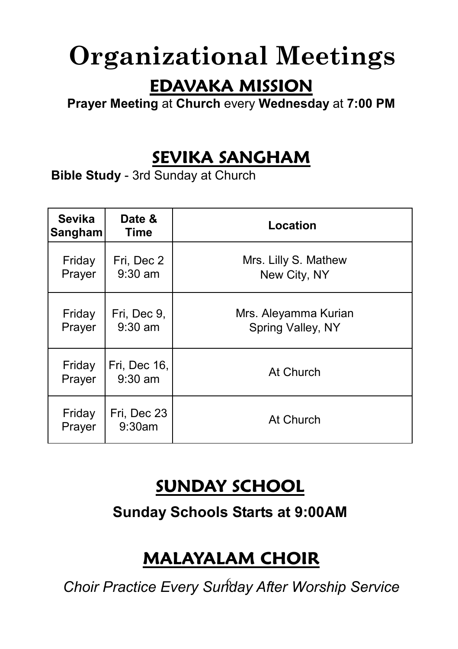# **Organizational Meetings**

## **EDAVAKA MISSION**

**Prayer Meeting** at **Church** every **Wednesday** at **7:00 PM** 

## **SEVIKA SANGHAM**

**Bible Study** - 3rd Sunday at Church

| <b>Sevika</b><br>Sangham | Date &<br>Time            | Location                                  |
|--------------------------|---------------------------|-------------------------------------------|
| Friday<br>Prayer         | Fri, Dec 2<br>$9:30$ am   | Mrs. Lilly S. Mathew<br>New City, NY      |
| Friday<br>Prayer         | Fri, Dec 9,<br>$9:30$ am  | Mrs. Aleyamma Kurian<br>Spring Valley, NY |
| Friday<br>Prayer         | Fri, Dec 16,<br>$9:30$ am | At Church                                 |
| Friday<br>Prayer         | Fri, Dec 23<br>9:30am     | At Church                                 |

## **SUNDAY SCHOOL**

**Sunday Schools Starts at 9:00AM**

# **MALAYALAM CHOIR**

6 *Choir Practice Every Sunday After Worship Service*